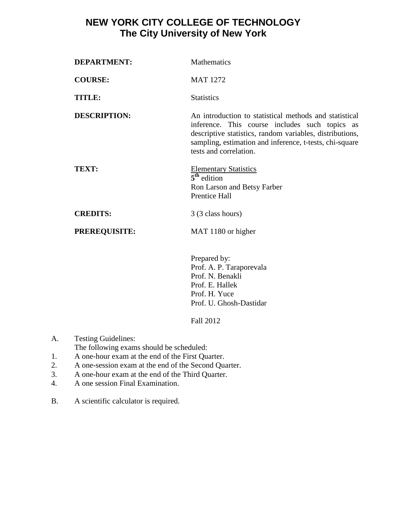## **NEW YORK CITY COLLEGE OF TECHNOLOGY The City University of New York**

| <b>DEPARTMENT:</b>   | Mathematics                                                                                                                                                                                                                                               |
|----------------------|-----------------------------------------------------------------------------------------------------------------------------------------------------------------------------------------------------------------------------------------------------------|
| <b>COURSE:</b>       | <b>MAT 1272</b>                                                                                                                                                                                                                                           |
| TITLE:               | <b>Statistics</b>                                                                                                                                                                                                                                         |
| <b>DESCRIPTION:</b>  | An introduction to statistical methods and statistical<br>inference. This course includes such topics as<br>descriptive statistics, random variables, distributions,<br>sampling, estimation and inference, t-tests, chi-square<br>tests and correlation. |
| TEXT:                | <b>Elementary Statistics</b><br>$5th$ edition<br>Ron Larson and Betsy Farber<br>Prentice Hall                                                                                                                                                             |
| <b>CREDITS:</b>      | 3 (3 class hours)                                                                                                                                                                                                                                         |
| <b>PREREQUISITE:</b> | MAT 1180 or higher                                                                                                                                                                                                                                        |
|                      | Prepared by:<br>Prof. A. P. Taraporevala<br>Prof. N. Benakli<br>Prof. E. Hallek<br>Prof. H. Yuce                                                                                                                                                          |

Fall 2012

Prof. U. Ghosh-Dastidar

A. Testing Guidelines:

The following exams should be scheduled:

- 1. A one-hour exam at the end of the First Quarter.
- 2. A one-session exam at the end of the Second Quarter.
- 3. A one-hour exam at the end of the Third Quarter.
- 4. A one session Final Examination.
- B. A scientific calculator is required.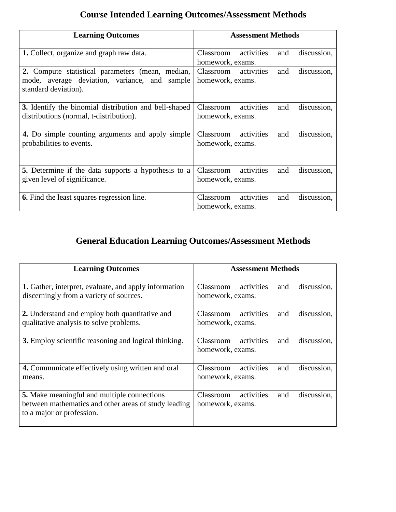# **Course Intended Learning Outcomes/Assessment Methods**

| <b>Learning Outcomes</b>                                                                                                  | <b>Assessment Methods</b>                                         |  |  |
|---------------------------------------------------------------------------------------------------------------------------|-------------------------------------------------------------------|--|--|
| 1. Collect, organize and graph raw data.                                                                                  | activities<br>discussion,<br>Classroom<br>and<br>homework, exams. |  |  |
| 2. Compute statistical parameters (mean, median,<br>mode, average deviation, variance, and sample<br>standard deviation). | Classroom activities<br>discussion,<br>and<br>homework, exams.    |  |  |
| 3. Identify the binomial distribution and bell-shaped<br>distributions (normal, t-distribution).                          | activities<br>Classroom<br>discussion,<br>and<br>homework, exams. |  |  |
| 4. Do simple counting arguments and apply simple<br>probabilities to events.                                              | activities<br>Classroom<br>discussion,<br>and<br>homework, exams. |  |  |
| <b>5.</b> Determine if the data supports a hypothesis to a<br>given level of significance.                                | activities<br>Classroom<br>discussion,<br>and<br>homework, exams. |  |  |
| <b>6.</b> Find the least squares regression line.                                                                         | activities<br>Classroom<br>discussion,<br>and<br>homework, exams. |  |  |

# **General Education Learning Outcomes/Assessment Methods**

| <b>Learning Outcomes</b>                                                                                                                | <b>Assessment Methods</b>                                         |  |  |
|-----------------------------------------------------------------------------------------------------------------------------------------|-------------------------------------------------------------------|--|--|
| <b>1.</b> Gather, interpret, evaluate, and apply information<br>discerningly from a variety of sources.                                 | activities<br>discussion,<br>Classroom<br>and<br>homework, exams. |  |  |
| 2. Understand and employ both quantitative and<br>qualitative analysis to solve problems.                                               | Classroom<br>activities<br>discussion,<br>and<br>homework, exams. |  |  |
| 3. Employ scientific reasoning and logical thinking.                                                                                    | activities<br>Classroom<br>discussion,<br>and<br>homework, exams. |  |  |
| 4. Communicate effectively using written and oral<br>means.                                                                             | activities<br>Classroom<br>discussion.<br>and<br>homework, exams. |  |  |
| <b>5.</b> Make meaningful and multiple connections<br>between mathematics and other areas of study leading<br>to a major or profession. | activities<br>Classroom<br>discussion,<br>and<br>homework, exams. |  |  |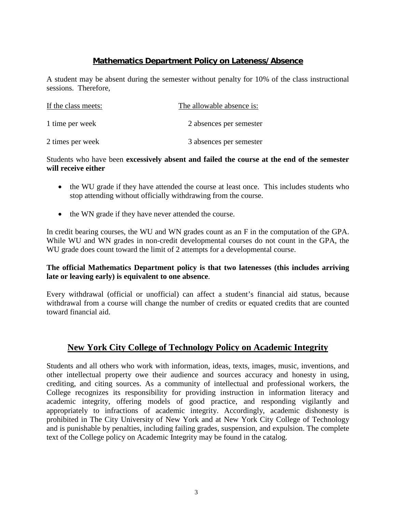### **Mathematics Department Policy on Lateness/Absence**

A student may be absent during the semester without penalty for 10% of the class instructional sessions. Therefore,

| If the class meets: | The allowable absence is: |
|---------------------|---------------------------|
| 1 time per week     | 2 absences per semester   |
| 2 times per week    | 3 absences per semester   |

#### Students who have been **excessively absent and failed the course at the end of the semester will receive either**

- the WU grade if they have attended the course at least once. This includes students who stop attending without officially withdrawing from the course.
- the WN grade if they have never attended the course.

In credit bearing courses, the WU and WN grades count as an F in the computation of the GPA. While WU and WN grades in non-credit developmental courses do not count in the GPA, the WU grade does count toward the limit of 2 attempts for a developmental course.

### **The official Mathematics Department policy is that two latenesses (this includes arriving late or leaving early) is equivalent to one absence**.

Every withdrawal (official or unofficial) can affect a student's financial aid status, because withdrawal from a course will change the number of credits or equated credits that are counted toward financial aid.

## **New York City College of Technology Policy on Academic Integrity**

Students and all others who work with information, ideas, texts, images, music, inventions, and other intellectual property owe their audience and sources accuracy and honesty in using, crediting, and citing sources. As a community of intellectual and professional workers, the College recognizes its responsibility for providing instruction in information literacy and academic integrity, offering models of good practice, and responding vigilantly and appropriately to infractions of academic integrity. Accordingly, academic dishonesty is prohibited in The City University of New York and at New York City College of Technology and is punishable by penalties, including failing grades, suspension, and expulsion. The complete text of the College policy on Academic Integrity may be found in the catalog.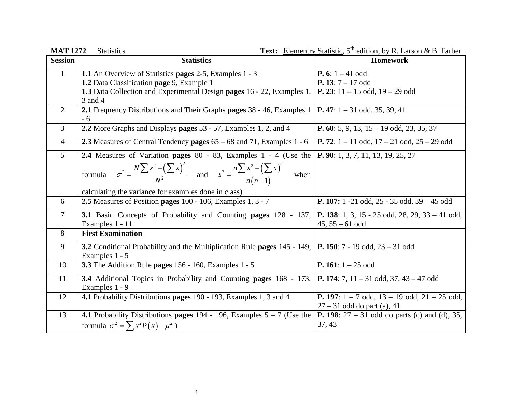**MAT 1272** Statistics **Text:** Elementry Statistic, 5<sup>th</sup> edition, by R. Larson & B. Farber

| <b>Session</b> | <b>Statistics</b>                                                                                                                                    | <b>Homework</b>                                                                            |
|----------------|------------------------------------------------------------------------------------------------------------------------------------------------------|--------------------------------------------------------------------------------------------|
| $\mathbf{1}$   | 1.1 An Overview of Statistics pages 2-5, Examples 1 - 3                                                                                              | <b>P.</b> 6: $1 - 41$ odd                                                                  |
|                | 1.2 Data Classification page 9, Example 1                                                                                                            | <b>P.</b> 13: $7 - 17$ odd                                                                 |
|                | 1.3 Data Collection and Experimental Design pages 16 - 22, Examples 1,<br>3 and 4                                                                    | <b>P.</b> 23: $11 - 15$ odd, $19 - 29$ odd                                                 |
| 2              | 2.1 Frequency Distributions and Their Graphs pages 38 - 46, Examples 1<br>$-6$                                                                       | <b>P.</b> 47: $1 - 31$ odd, 35, 39, 41                                                     |
| 3              | 2.2 More Graphs and Displays pages 53 - 57, Examples 1, 2, and 4                                                                                     | <b>P.</b> 60: 5, 9, 13, 15 – 19 odd, 23, 35, 37                                            |
| $\overline{4}$ | 2.3 Measures of Central Tendency pages 65 – 68 and 71, Examples 1 - 6                                                                                | <b>P.</b> 72: $1 - 11$ odd, $17 - 21$ odd, $25 - 29$ odd                                   |
| 5 <sup>5</sup> | 2.4 Measures of Variation pages 80 - 83, Examples 1 - 4 (Use the                                                                                     | <b>P. 90</b> : 1, 3, 7, 11, 13, 19, 25, 27                                                 |
|                | formula $\sigma^2 = \frac{N \sum x^2 - (\sum x)^2}{N^2}$ and $s^2 = \frac{n \sum x^2 - (\sum x)^2}{n(n-1)}$<br>when                                  |                                                                                            |
|                | calculating the variance for examples done in class)                                                                                                 |                                                                                            |
| 6              | 2.5 Measures of Position pages 100 - 106, Examples 1, 3 - 7                                                                                          | P. 107: 1 -21 odd, 25 - 35 odd, 39 - 45 odd                                                |
| $\tau$         | <b>3.1</b> Basic Concepts of Probability and Counting pages $128 - 137$ , <b>P. 138</b> : 1, 3, 15 - 25 odd, 28, 29, 33 - 41 odd,<br>Examples 1 - 11 | $45, 55 - 61$ odd                                                                          |
| 8              | <b>First Examination</b>                                                                                                                             |                                                                                            |
| 9              | <b>3.2</b> Conditional Probability and the Multiplication Rule pages 145 - 149,<br>Examples 1 - 5                                                    | $\vert$ <b>P.</b> 150: 7 - 19 odd, 23 – 31 odd                                             |
| 10             | <b>3.3</b> The Addition Rule pages 156 - 160, Examples 1 - 5                                                                                         | <b>P.</b> 161: $1 - 25$ odd                                                                |
| 11             | 3.4 Additional Topics in Probability and Counting pages $168 - 173$ , $\mathbf{P. 174}$ : 7, $11 - 31$ odd, $37$ , $43 - 47$ odd<br>Examples 1 - 9   |                                                                                            |
| 12             | 4.1 Probability Distributions pages 190 - 193, Examples 1, 3 and 4                                                                                   | <b>P.</b> 197: $1 - 7$ odd, $13 - 19$ odd, $21 - 25$ odd,<br>$27 - 31$ odd do part (a), 41 |
| 13             | <b>4.1</b> Probability Distributions pages 194 - 196, Examples $5 - 7$ (Use the                                                                      | <b>P.</b> 198: $27 - 31$ odd do parts (c) and (d), 35,                                     |
|                | formula $\sigma^2 = \sum x^2 P(x) - \mu^2$ )                                                                                                         | 37, 43                                                                                     |